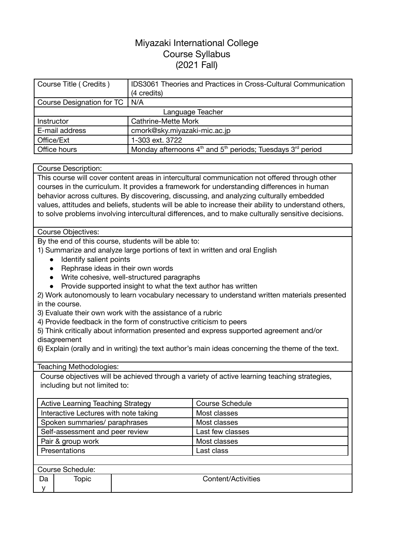# Miyazaki International College Course Syllabus (2021 Fall)

| Course Title (Credits)    | <b>IDS3061 Theories and Practices in Cross-Cultural Communication</b> |  |  |
|---------------------------|-----------------------------------------------------------------------|--|--|
|                           | (4 credits)                                                           |  |  |
| Course Designation for TC | N/A                                                                   |  |  |
|                           | Language Teacher                                                      |  |  |
| Instructor                | <b>Cathrine-Mette Mork</b>                                            |  |  |
| E-mail address            | cmork@sky.miyazaki-mic.ac.jp                                          |  |  |
| Office/Ext                | 1-303 ext. 3722                                                       |  |  |
| Office hours              | Monday afternoons $4th$ and $5th$ periods; Tuesdays $3rd$ period      |  |  |

#### Course Description:

This course will cover content areas in intercultural communication not offered through other courses in the curriculum. It provides a framework for understanding differences in human behavior across cultures. By discovering, discussing, and analyzing culturally embedded values, attitudes and beliefs, students will be able to increase their ability to understand others, to solve problems involving intercultural differences, and to make culturally sensitive decisions.

#### Course Objectives:

By the end of this course, students will be able to:

1) Summarize and analyze large portions of text in written and oral English

- Identify salient points
- Rephrase ideas in their own words
- Write cohesive, well-structured paragraphs
- Provide supported insight to what the text author has written
- 2) Work autonomously to learn vocabulary necessary to understand written materials presented in the course.
- 3) Evaluate their own work with the assistance of a rubric
- 4) Provide feedback in the form of constructive criticism to peers
- 5) Think critically about information presented and express supported agreement and/or disagreement

6) Explain (orally and in writing) the text author's main ideas concerning the theme of the text.

Teaching Methodologies:

Course objectives will be achieved through a variety of active learning teaching strategies, including but not limited to:

| <b>Active Learning Teaching Strategy</b> | <b>Course Schedule</b> |
|------------------------------------------|------------------------|
| Interactive Lectures with note taking    | Most classes           |
| Spoken summaries/ paraphrases            | Most classes           |
| Self-assessment and peer review          | Last few classes       |
| Pair & group work                        | Most classes           |
| Presentations                            | Last class             |
|                                          |                        |

| Course Schedule: |       |                    |  |  |
|------------------|-------|--------------------|--|--|
| Da               | Topic | Content/Activities |  |  |
|                  |       |                    |  |  |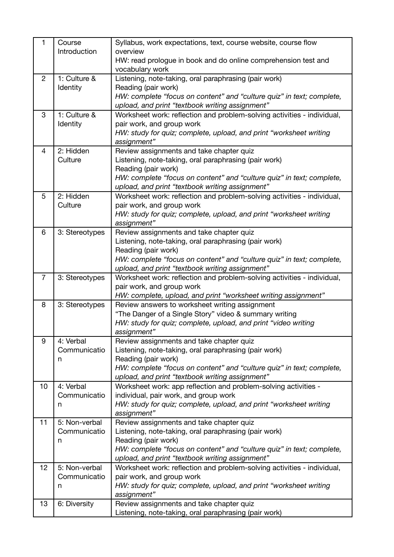| 1              | Course<br>Introduction    | Syllabus, work expectations, text, course website, course flow<br>overview                           |  |  |  |
|----------------|---------------------------|------------------------------------------------------------------------------------------------------|--|--|--|
|                |                           | HW: read prologue in book and do online comprehension test and<br>vocabulary work                    |  |  |  |
| $\overline{2}$ | 1: Culture &              | Listening, note-taking, oral paraphrasing (pair work)                                                |  |  |  |
|                | Identity                  | Reading (pair work)<br>HW: complete "focus on content" and "culture quiz" in text; complete,         |  |  |  |
|                |                           | upload, and print "textbook writing assignment"                                                      |  |  |  |
| 3              | 1: Culture &              | Worksheet work: reflection and problem-solving activities - individual,                              |  |  |  |
|                | Identity                  | pair work, and group work                                                                            |  |  |  |
|                |                           | HW: study for quiz; complete, upload, and print "worksheet writing                                   |  |  |  |
| 4              | 2: Hidden                 | assignment"<br>Review assignments and take chapter quiz                                              |  |  |  |
|                | Culture                   | Listening, note-taking, oral paraphrasing (pair work)                                                |  |  |  |
|                |                           | Reading (pair work)                                                                                  |  |  |  |
|                |                           | HW: complete "focus on content" and "culture quiz" in text; complete,                                |  |  |  |
|                |                           | upload, and print "textbook writing assignment"                                                      |  |  |  |
| 5              | 2: Hidden                 | Worksheet work: reflection and problem-solving activities - individual,                              |  |  |  |
|                | Culture                   | pair work, and group work                                                                            |  |  |  |
|                |                           | HW: study for quiz; complete, upload, and print "worksheet writing<br>assignment"                    |  |  |  |
| 6              | 3: Stereotypes            | Review assignments and take chapter quiz                                                             |  |  |  |
|                |                           | Listening, note-taking, oral paraphrasing (pair work)                                                |  |  |  |
|                |                           | Reading (pair work)                                                                                  |  |  |  |
|                |                           | HW: complete "focus on content" and "culture quiz" in text; complete,                                |  |  |  |
|                |                           | upload, and print "textbook writing assignment"                                                      |  |  |  |
| $\overline{7}$ | 3: Stereotypes            | Worksheet work: reflection and problem-solving activities - individual,<br>pair work, and group work |  |  |  |
|                |                           | HW: complete, upload, and print "worksheet writing assignment"                                       |  |  |  |
| 8              | 3: Stereotypes            | Review answers to worksheet writing assignment                                                       |  |  |  |
|                |                           | "The Danger of a Single Story" video & summary writing                                               |  |  |  |
|                |                           | HW: study for quiz; complete, upload, and print "video writing                                       |  |  |  |
|                |                           | assignment"                                                                                          |  |  |  |
| 9              | 4: Verbal<br>Communicatio | Review assignments and take chapter quiz<br>Listening, note-taking, oral paraphrasing (pair work)    |  |  |  |
|                | n                         | Reading (pair work)                                                                                  |  |  |  |
|                |                           | HW: complete "focus on content" and "culture quiz" in text; complete,                                |  |  |  |
|                |                           | upload, and print "textbook writing assignment"                                                      |  |  |  |
| 10             | 4: Verbal                 | Worksheet work: app reflection and problem-solving activities -                                      |  |  |  |
|                | Communicatio              | individual, pair work, and group work                                                                |  |  |  |
|                | n                         | HW: study for quiz; complete, upload, and print "worksheet writing<br>assignment"                    |  |  |  |
| 11             | 5: Non-verbal             | Review assignments and take chapter quiz                                                             |  |  |  |
|                | Communicatio              | Listening, note-taking, oral paraphrasing (pair work)                                                |  |  |  |
|                | n                         | Reading (pair work)                                                                                  |  |  |  |
|                |                           | HW: complete "focus on content" and "culture quiz" in text; complete,                                |  |  |  |
|                |                           | upload, and print "textbook writing assignment"                                                      |  |  |  |
| 12             | 5: Non-verbal             | Worksheet work: reflection and problem-solving activities - individual,                              |  |  |  |
|                | Communicatio<br>n         | pair work, and group work<br>HW: study for quiz; complete, upload, and print "worksheet writing      |  |  |  |
|                |                           | assignment"                                                                                          |  |  |  |
| 13             | 6: Diversity              | Review assignments and take chapter quiz                                                             |  |  |  |
|                |                           | Listening, note-taking, oral paraphrasing (pair work)                                                |  |  |  |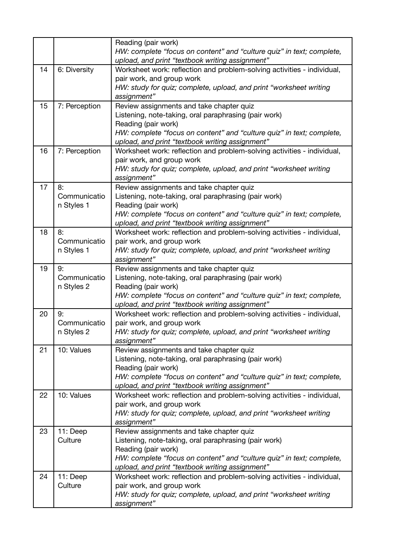|    |               | Reading (pair work)                                                          |  |  |  |  |  |
|----|---------------|------------------------------------------------------------------------------|--|--|--|--|--|
|    |               | HW: complete "focus on content" and "culture quiz" in text; complete,        |  |  |  |  |  |
|    |               | upload, and print "textbook writing assignment"                              |  |  |  |  |  |
| 14 | 6: Diversity  | Worksheet work: reflection and problem-solving activities - individual,      |  |  |  |  |  |
|    |               | pair work, and group work                                                    |  |  |  |  |  |
|    |               | HW: study for quiz; complete, upload, and print "worksheet writing           |  |  |  |  |  |
|    |               | assignment"                                                                  |  |  |  |  |  |
| 15 | 7: Perception | Review assignments and take chapter quiz                                     |  |  |  |  |  |
|    |               | Listening, note-taking, oral paraphrasing (pair work)                        |  |  |  |  |  |
|    |               | Reading (pair work)                                                          |  |  |  |  |  |
|    |               | HW: complete "focus on content" and "culture quiz" in text; complete,        |  |  |  |  |  |
|    |               | upload, and print "textbook writing assignment"                              |  |  |  |  |  |
| 16 | 7: Perception | Worksheet work: reflection and problem-solving activities - individual,      |  |  |  |  |  |
|    |               | pair work, and group work                                                    |  |  |  |  |  |
|    |               | HW: study for quiz; complete, upload, and print "worksheet writing           |  |  |  |  |  |
|    |               | assignment"                                                                  |  |  |  |  |  |
| 17 | 8:            | Review assignments and take chapter quiz                                     |  |  |  |  |  |
|    | Communicatio  | Listening, note-taking, oral paraphrasing (pair work)                        |  |  |  |  |  |
|    | n Styles 1    | Reading (pair work)                                                          |  |  |  |  |  |
|    |               | HW: complete "focus on content" and "culture quiz" in text; complete,        |  |  |  |  |  |
|    |               | upload, and print "textbook writing assignment"                              |  |  |  |  |  |
| 18 | 8:            | Worksheet work: reflection and problem-solving activities - individual,      |  |  |  |  |  |
|    | Communicatio  | pair work, and group work                                                    |  |  |  |  |  |
|    | n Styles 1    | HW: study for quiz; complete, upload, and print "worksheet writing           |  |  |  |  |  |
|    |               | assignment"                                                                  |  |  |  |  |  |
| 19 | 9:            | Review assignments and take chapter quiz                                     |  |  |  |  |  |
|    | Communicatio  | Listening, note-taking, oral paraphrasing (pair work)                        |  |  |  |  |  |
|    | n Styles 2    | Reading (pair work)                                                          |  |  |  |  |  |
|    |               | HW: complete "focus on content" and "culture quiz" in text; complete,        |  |  |  |  |  |
|    |               | upload, and print "textbook writing assignment"                              |  |  |  |  |  |
| 20 | 9:            | Worksheet work: reflection and problem-solving activities - individual,      |  |  |  |  |  |
|    | Communicatio  | pair work, and group work                                                    |  |  |  |  |  |
|    | n Styles 2    | HW: study for quiz; complete, upload, and print "worksheet writing           |  |  |  |  |  |
|    |               | assignment"                                                                  |  |  |  |  |  |
| 21 | 10: Values    | Review assignments and take chapter quiz                                     |  |  |  |  |  |
|    |               | Listening, note-taking, oral paraphrasing (pair work)<br>Reading (pair work) |  |  |  |  |  |
|    |               | HW: complete "focus on content" and "culture quiz" in text; complete,        |  |  |  |  |  |
|    |               | upload, and print "textbook writing assignment"                              |  |  |  |  |  |
| 22 | 10: Values    | Worksheet work: reflection and problem-solving activities - individual,      |  |  |  |  |  |
|    |               | pair work, and group work                                                    |  |  |  |  |  |
|    |               | HW: study for quiz; complete, upload, and print "worksheet writing           |  |  |  |  |  |
|    |               | assignment"                                                                  |  |  |  |  |  |
| 23 | 11: Deep      | Review assignments and take chapter quiz                                     |  |  |  |  |  |
|    | Culture       | Listening, note-taking, oral paraphrasing (pair work)                        |  |  |  |  |  |
|    |               | Reading (pair work)                                                          |  |  |  |  |  |
|    |               | HW: complete "focus on content" and "culture quiz" in text; complete,        |  |  |  |  |  |
|    |               | upload, and print "textbook writing assignment"                              |  |  |  |  |  |
| 24 | 11: Deep      | Worksheet work: reflection and problem-solving activities - individual,      |  |  |  |  |  |
|    | Culture       | pair work, and group work                                                    |  |  |  |  |  |
|    |               | HW: study for quiz; complete, upload, and print "worksheet writing           |  |  |  |  |  |
|    |               | assignment"                                                                  |  |  |  |  |  |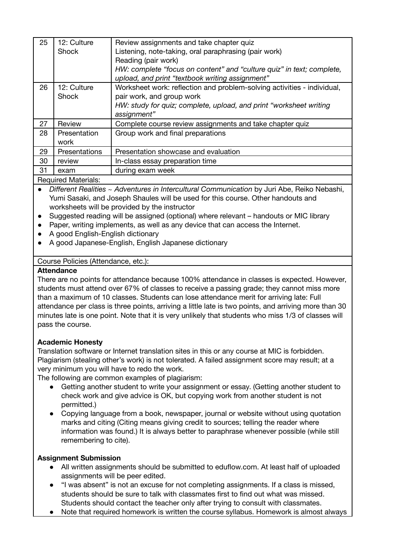| 25 | 12: Culture   | Review assignments and take chapter quiz                                |
|----|---------------|-------------------------------------------------------------------------|
|    | Shock         | Listening, note-taking, oral paraphrasing (pair work)                   |
|    |               | Reading (pair work)                                                     |
|    |               | HW: complete "focus on content" and "culture quiz" in text; complete,   |
|    |               | upload, and print "textbook writing assignment"                         |
| 26 | 12: Culture   | Worksheet work: reflection and problem-solving activities - individual, |
|    | <b>Shock</b>  | pair work, and group work                                               |
|    |               | HW: study for quiz; complete, upload, and print "worksheet writing      |
|    |               | assignment"                                                             |
| 27 | Review        | Complete course review assignments and take chapter quiz                |
| 28 | Presentation  | Group work and final preparations                                       |
|    | work          |                                                                         |
| 29 | Presentations | Presentation showcase and evaluation                                    |
| 30 | review        | In-class essay preparation time                                         |
| 31 | exam          | during exam week                                                        |
|    |               |                                                                         |

## Required Materials:

● *Different Realities ~ Adventures in Intercultural Communication* by Juri Abe, Reiko Nebashi, Yumi Sasaki, and Joseph Shaules will be used for this course. Other handouts and worksheets will be provided by the instructor

- Suggested reading will be assigned (optional) where relevant handouts or MIC library
- Paper, writing implements, as well as any device that can access the Internet.
- A good English-English dictionary
- A good Japanese-English, English Japanese dictionary

# Course Policies (Attendance, etc.):

## **Attendance**

There are no points for attendance because 100% attendance in classes is expected. However, students must attend over 67% of classes to receive a passing grade; they cannot miss more than a maximum of 10 classes. Students can lose attendance merit for arriving late: Full attendance per class is three points, arriving a little late is two points, and arriving more than 30 minutes late is one point. Note that it is very unlikely that students who miss 1/3 of classes will pass the course.

## **Academic Honesty**

Translation software or Internet translation sites in this or any course at MIC is forbidden. Plagiarism (stealing other's work) is not tolerated. A failed assignment score may result; at a very minimum you will have to redo the work.

The following are common examples of plagiarism:

- Getting another student to write your assignment or essay. (Getting another student to check work and give advice is OK, but copying work from another student is not permitted.)
- Copying language from a book, newspaper, journal or website without using quotation marks and citing (Citing means giving credit to sources; telling the reader where information was found.) It is always better to paraphrase whenever possible (while still remembering to cite).

## **Assignment Submission**

- All written assignments should be submitted to eduflow.com. At least half of uploaded assignments will be peer edited.
- "I was absent" is not an excuse for not completing assignments. If a class is missed, students should be sure to talk with classmates first to find out what was missed. Students should contact the teacher only after trying to consult with classmates.
- Note that required homework is written the course syllabus. Homework is almost always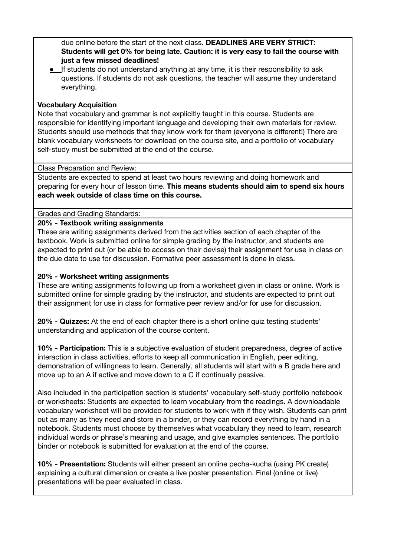due online before the start of the next class. **DEADLINES ARE VERY STRICT: Students will get 0% for being late. Caution: it is very easy to fail the course with just a few missed deadlines!**

● If students do not understand anything at any time, it is their responsibility to ask questions. If students do not ask questions, the teacher will assume they understand everything.

# **Vocabulary Acquisition**

Note that vocabulary and grammar is not explicitly taught in this course. Students are responsible for identifying important language and developing their own materials for review. Students should use methods that they know work for them (everyone is different!) There are blank vocabulary worksheets for download on the course site, and a portfolio of vocabulary self-study must be submitted at the end of the course.

#### Class Preparation and Review:

Students are expected to spend at least two hours reviewing and doing homework and preparing for every hour of lesson time. **This means students should aim to spend six hours each week outside of class time on this course.**

Grades and Grading Standards:

## **20% - Textbook writing assignments**

These are writing assignments derived from the activities section of each chapter of the textbook. Work is submitted online for simple grading by the instructor, and students are expected to print out (or be able to access on their devise) their assignment for use in class on the due date to use for discussion. Formative peer assessment is done in class.

## **20% - Worksheet writing assignments**

These are writing assignments following up from a worksheet given in class or online. Work is submitted online for simple grading by the instructor, and students are expected to print out their assignment for use in class for formative peer review and/or for use for discussion.

**20% - Quizzes:** At the end of each chapter there is a short online quiz testing students' understanding and application of the course content.

**10% - Participation:** This is a subjective evaluation of student preparedness, degree of active interaction in class activities, efforts to keep all communication in English, peer editing, demonstration of willingness to learn. Generally, all students will start with a B grade here and move up to an A if active and move down to a C if continually passive.

Also included in the participation section is students' vocabulary self-study portfolio notebook or worksheets: Students are expected to learn vocabulary from the readings. A downloadable vocabulary worksheet will be provided for students to work with if they wish. Students can print out as many as they need and store in a binder, or they can record everything by hand in a notebook. Students must choose by themselves what vocabulary they need to learn, research individual words or phrase's meaning and usage, and give examples sentences. The portfolio binder or notebook is submitted for evaluation at the end of the course.

**10% - Presentation:** Students will either present an online pecha-kucha (using PK create) explaining a cultural dimension or create a live poster presentation. Final (online or live) presentations will be peer evaluated in class.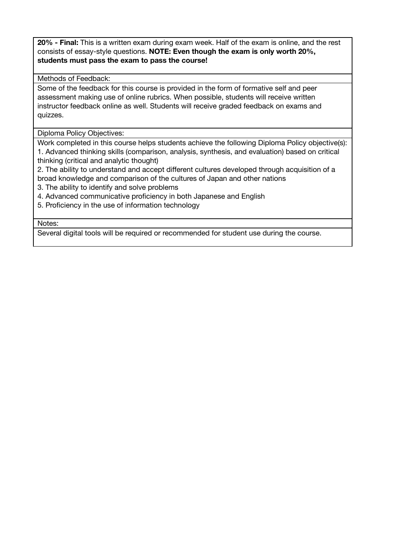**20% - Final:** This is a written exam during exam week. Half of the exam is online, and the rest consists of essay-style questions. **NOTE: Even though the exam is only worth 20%, students must pass the exam to pass the course!**

## Methods of Feedback:

Some of the feedback for this course is provided in the form of formative self and peer assessment making use of online rubrics. When possible, students will receive written instructor feedback online as well. Students will receive graded feedback on exams and quizzes.

Diploma Policy Objectives:

Work completed in this course helps students achieve the following Diploma Policy objective(s): 1. Advanced thinking skills (comparison, analysis, synthesis, and evaluation) based on critical thinking (critical and analytic thought)

2. The ability to understand and accept different cultures developed through acquisition of a broad knowledge and comparison of the cultures of Japan and other nations

- 3. The ability to identify and solve problems
- 4. Advanced communicative proficiency in both Japanese and English
- 5. Proficiency in the use of information technology

Notes:

Several digital tools will be required or recommended for student use during the course.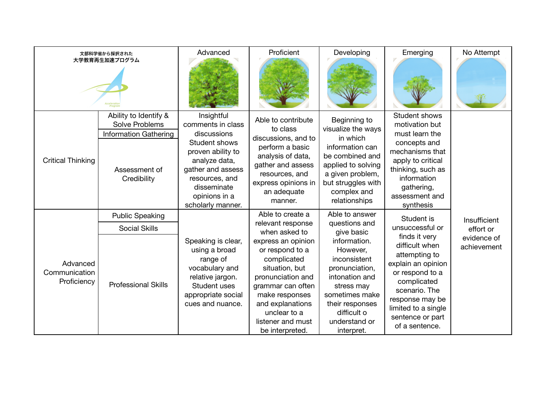| 文部科学省から採択された<br>大学教育再生加速プログラム            |                                                                                                                | Advanced                                                                                                                                                                                          | Proficient                                                                                                                                                                                                     | Developing                                                                                                                                                                           | Emerging                                                                                                                                                                                                  | No Attempt                 |
|------------------------------------------|----------------------------------------------------------------------------------------------------------------|---------------------------------------------------------------------------------------------------------------------------------------------------------------------------------------------------|----------------------------------------------------------------------------------------------------------------------------------------------------------------------------------------------------------------|--------------------------------------------------------------------------------------------------------------------------------------------------------------------------------------|-----------------------------------------------------------------------------------------------------------------------------------------------------------------------------------------------------------|----------------------------|
| <b>Critical Thinking</b>                 | Ability to Identify &<br><b>Solve Problems</b><br><b>Information Gathering</b><br>Assessment of<br>Credibility | Insightful<br>comments in class<br>discussions<br>Student shows<br>proven ability to<br>analyze data,<br>gather and assess<br>resources, and<br>disseminate<br>opinions in a<br>scholarly manner. | Able to contribute<br>to class<br>discussions, and to<br>perform a basic<br>analysis of data,<br>gather and assess<br>resources, and<br>express opinions in<br>an adequate<br>manner.                          | Beginning to<br>visualize the ways<br>in which<br>information can<br>be combined and<br>applied to solving<br>a given problem,<br>but struggles with<br>complex and<br>relationships | Student shows<br>motivation but<br>must learn the<br>concepts and<br>mechanisms that<br>apply to critical<br>thinking, such as<br>information<br>gathering,<br>assessment and<br>synthesis                |                            |
|                                          | <b>Public Speaking</b>                                                                                         |                                                                                                                                                                                                   | Able to create a                                                                                                                                                                                               | Able to answer                                                                                                                                                                       | Student is                                                                                                                                                                                                | Insufficient               |
|                                          | <b>Social Skills</b>                                                                                           |                                                                                                                                                                                                   | relevant response<br>when asked to                                                                                                                                                                             | questions and<br>give basic                                                                                                                                                          | unsuccessful or                                                                                                                                                                                           | effort or                  |
| Advanced<br>Communication<br>Proficiency | <b>Professional Skills</b>                                                                                     | Speaking is clear,<br>using a broad<br>range of<br>vocabulary and<br>relative jargon.<br>Student uses<br>appropriate social<br>cues and nuance.                                                   | express an opinion<br>or respond to a<br>complicated<br>situation, but<br>pronunciation and<br>grammar can often<br>make responses<br>and explanations<br>unclear to a<br>listener and must<br>be interpreted. | information.<br>However,<br>inconsistent<br>pronunciation,<br>intonation and<br>stress may<br>sometimes make<br>their responses<br>difficult o<br>understand or<br>interpret.        | finds it very<br>difficult when<br>attempting to<br>explain an opinion<br>or respond to a<br>complicated<br>scenario. The<br>response may be<br>limited to a single<br>sentence or part<br>of a sentence. | evidence of<br>achievement |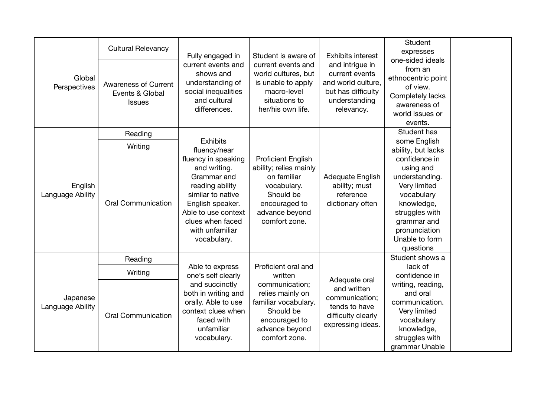| Global<br>Perspectives       | <b>Cultural Relevancy</b><br><b>Awareness of Current</b><br>Events & Global<br><b>Issues</b> | Fully engaged in<br>current events and<br>shows and<br>understanding of<br>social inequalities<br>and cultural<br>differences.                                                              | Student is aware of<br>current events and<br>world cultures, but<br>is unable to apply<br>macro-level<br>situations to<br>her/his own life.        | <b>Exhibits interest</b><br>and intrigue in<br>current events<br>and world culture,<br>but has difficulty<br>understanding<br>relevancy. | Student<br>expresses<br>one-sided ideals<br>from an<br>ethnocentric point<br>of view.<br>Completely lacks<br>awareness of<br>world issues or<br>events.                   |  |
|------------------------------|----------------------------------------------------------------------------------------------|---------------------------------------------------------------------------------------------------------------------------------------------------------------------------------------------|----------------------------------------------------------------------------------------------------------------------------------------------------|------------------------------------------------------------------------------------------------------------------------------------------|---------------------------------------------------------------------------------------------------------------------------------------------------------------------------|--|
|                              | Reading                                                                                      | <b>Exhibits</b>                                                                                                                                                                             |                                                                                                                                                    |                                                                                                                                          | Student has<br>some English                                                                                                                                               |  |
|                              | Writing                                                                                      | fluency/near                                                                                                                                                                                |                                                                                                                                                    |                                                                                                                                          | ability, but lacks                                                                                                                                                        |  |
| English<br>Language Ability  | <b>Oral Communication</b>                                                                    | fluency in speaking<br>and writing.<br>Grammar and<br>reading ability<br>similar to native<br>English speaker.<br>Able to use context<br>clues when faced<br>with unfamiliar<br>vocabulary. | <b>Proficient English</b><br>ability; relies mainly<br>on familiar<br>vocabulary.<br>Should be<br>encouraged to<br>advance beyond<br>comfort zone. | Adequate English<br>ability; must<br>reference<br>dictionary often                                                                       | confidence in<br>using and<br>understanding.<br>Very limited<br>vocabulary<br>knowledge,<br>struggles with<br>grammar and<br>pronunciation<br>Unable to form<br>questions |  |
|                              | Reading                                                                                      |                                                                                                                                                                                             |                                                                                                                                                    |                                                                                                                                          | Student shows a                                                                                                                                                           |  |
| Japanese<br>Language Ability | Writing                                                                                      | Able to express<br>one's self clearly                                                                                                                                                       | Proficient oral and<br>written                                                                                                                     | Adequate oral<br>and written<br>communication;<br>tends to have<br>difficulty clearly<br>expressing ideas.                               | lack of<br>confidence in                                                                                                                                                  |  |
|                              | <b>Oral Communication</b>                                                                    | and succinctly<br>both in writing and<br>orally. Able to use<br>context clues when<br>faced with<br>unfamiliar<br>vocabulary.                                                               | communication;<br>relies mainly on<br>familiar vocabulary.<br>Should be<br>encouraged to<br>advance beyond<br>comfort zone.                        |                                                                                                                                          | writing, reading,<br>and oral<br>communication.<br>Very limited<br>vocabulary<br>knowledge,<br>struggles with<br>grammar Unable                                           |  |